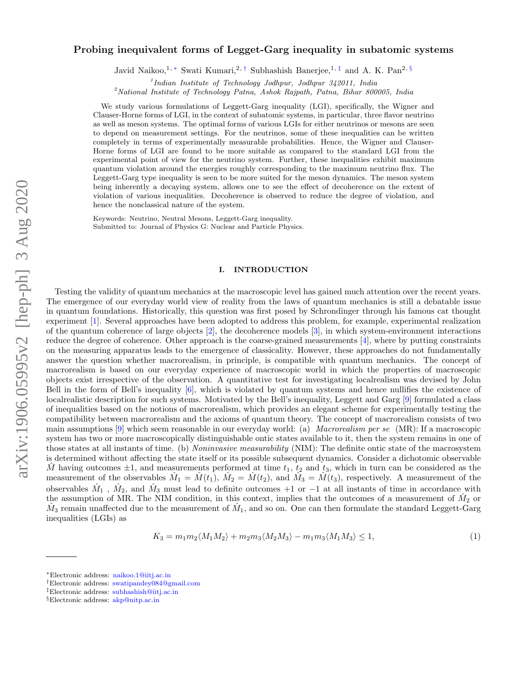# arXiv:1906.05995v2 [hep-ph] 3 Aug 2020 arXiv:1906.05995v2 [hep-ph] 3 Aug 2020

# Probing inequivalent forms of Legget-Garg inequality in subatomic systems

Javid Naikoo,<sup>1, \*</sup> Swati Kumari,<sup>2, †</sup> Subhashish Banerjee,<sup>1, ‡</sup> and A. K. Pan<sup>2, §</sup>

<sup>1</sup>Indian Institute of Technology Jodhpur, Jodhpur 342011, India

<sup>2</sup>National Institute of Technology Patna, Ashok Rajpath, Patna, Bihar 800005, India

We study various formulations of Leggett-Garg inequality (LGI), specifically, the Wigner and Clauser-Horne forms of LGI, in the context of subatomic systems, in particular, three flavor neutrino as well as meson systems. The optimal forms of various LGIs for either neutrinos or mesons are seen to depend on measurement settings. For the neutrinos, some of these inequalities can be written completely in terms of experimentally measurable probabilities. Hence, the Wigner and Clauser-Horne forms of LGI are found to be more suitable as compared to the standard LGI from the experimental point of view for the neutrino system. Further, these inequalities exhibit maximum quantum violation around the energies roughly corresponding to the maximum neutrino flux. The Leggett-Garg type inequality is seen to be more suited for the meson dynamics. The meson system being inherently a decaying system, allows one to see the effect of decoherence on the extent of violation of various inequalities. Decoherence is observed to reduce the degree of violation, and hence the nonclassical nature of the system.

Keywords: Neutrino, Neutral Mesons, Leggett-Garg inequality. Submitted to: Journal of Physics G: Nuclear and Particle Physics.

### I. INTRODUCTION

Testing the validity of quantum mechanics at the macroscopic level has gained much attention over the recent years. The emergence of our everyday world view of reality from the laws of quantum mechanics is still a debatable issue in quantum foundations. Historically, this question was first posed by Schrondinger through his famous cat thought experiment [1]. Several approaches have been adopted to address this problem, for example, experimental realization of the quantum coherence of large objects [2], the decoherence models [3], in which system-environment interactions reduce the degree of coherence. Other approach is the coarse-grained measurements [4], where by putting constraints on the measuring apparatus leads to the emergence of classicality. However, these approaches do not fundamentally answer the question whether macrorealism, in principle, is compatible with quantum mechanics. The concept of macrorealism is based on our everyday experience of macroscopic world in which the properties of macroscopic objects exist irrespective of the observation. A quantitative test for investigating localrealism was devised by John Bell in the form of Bell's inequality [6], which is violated by quantum systems and hence nullifies the existence of localrealistic description for such systems. Motivated by the Bell's inequality, Leggett and Garg [9] formulated a class of inequalities based on the notions of macrorealism, which provides an elegant scheme for experimentally testing the compatibility between macrorealism and the axioms of quantum theory. The concept of macrorealism consists of two main assumptions  $[9]$  which seem reasonable in our everyday world: (a) *Macrorealism per se* (MR): If a macroscopic system has two or more macroscopically distinguishable ontic states available to it, then the system remains in one of those states at all instants of time. (b) *Noninvasive measurability* (NIM): The definite ontic state of the macrosystem is determined without affecting the state itself or its possible subsequent dynamics. Consider a dichotomic observable  $\hat{M}$  having outcomes  $\pm 1$ , and measurements performed at time  $t_1$ ,  $t_2$  and  $t_3$ , which in turn can be considered as the measurement of the observables  $\hat{M}_1 = \hat{M}(t_1), \ \hat{M}_2 = \hat{M}(t_2), \text{ and } \hat{M}_3 = \hat{M}(t_3),$  respectively. A measurement of the observables  $\hat{M}_1$ ,  $\hat{M}_2$ , and  $\hat{M}_3$  must lead to definite outcomes +1 or −1 at all instants of time in accordance with the assumption of MR. The NIM condition, in this context, implies that the outcomes of a measurement of  $\hat{M}_2$  or  $\hat{M}_3$  remain unaffected due to the measurement of  $\hat{M}_1$ , and so on. One can then formulate the standard Leggett-Garg inequalities (LGIs) as

$$
K_3 = m_1 m_2 \langle M_1 M_2 \rangle + m_2 m_3 \langle M_2 M_3 \rangle - m_1 m_3 \langle M_1 M_3 \rangle \le 1,
$$
\n(1)

<sup>∗</sup>Electronic address: naikoo.1@iitj.ac.in

<sup>†</sup>Electronic address: swatipandey084@gmail.com

<sup>‡</sup>Electronic address: subhashish@iitj.ac.in

<sup>§</sup>Electronic address: akp@nitp.ac.in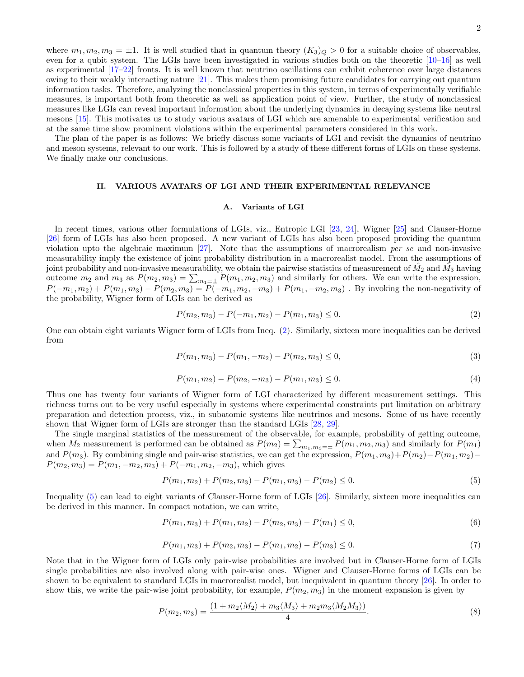where  $m_1, m_2, m_3 = \pm 1$ . It is well studied that in quantum theory  $(K_3)_{\mathcal{Q}} > 0$  for a suitable choice of observables, even for a qubit system. The LGIs have been investigated in various studies both on the theoretic  $[10-16]$  as well as experimental [17–22] fronts. It is well known that neutrino oscillations can exhibit coherence over large distances owing to their weakly interacting nature [21]. This makes them promising future candidates for carrying out quantum information tasks. Therefore, analyzing the nonclassical properties in this system, in terms of experimentally verifiable measures, is important both from theoretic as well as application point of view. Further, the study of nonclassical measures like LGIs can reveal important information about the underlying dynamics in decaying systems like neutral mesons [15]. This motivates us to study various avatars of LGI which are amenable to experimental verification and at the same time show prominent violations within the experimental parameters considered in this work.

The plan of the paper is as follows: We briefly discuss some variants of LGI and revisit the dynamics of neutrino and meson systems, relevant to our work. This is followed by a study of these different forms of LGIs on these systems. We finally make our conclusions.

## II. VARIOUS AVATARS OF LGI AND THEIR EXPERIMENTAL RELEVANCE

### A. Variants of LGI

In recent times, various other formulations of LGIs, viz., Entropic LGI [23, 24], Wigner [25] and Clauser-Horne [26] form of LGIs has also been proposed. A new variant of LGIs has also been proposed providing the quantum violation upto the algebraic maximum [27]. Note that the assumptions of macrorealism per se and non-invasive measurability imply the existence of joint probability distribution in a macrorealist model. From the assumptions of joint probability and non-invasive measurability, we obtain the pairwise statistics of measurement of  $\hat{M_2}$  and  $\hat{M_3}$  having outcome  $m_2$  and  $m_3$  as  $P(m_2, m_3) = \sum_{m_1=\pm} P(m_1, m_2, m_3)$  and similarly for others. We can write the expression,  $P(-m_1, m_2) + P(m_1, m_3) - P(m_2, m_3) = P(-m_1, m_2, -m_3) + P(m_1, -m_2, m_3)$ . By invoking the non-negativity of the probability, Wigner form of LGIs can be derived as

$$
P(m_2, m_3) - P(-m_1, m_2) - P(m_1, m_3) \le 0.
$$
\n<sup>(2)</sup>

One can obtain eight variants Wigner form of LGIs from Ineq. (2). Similarly, sixteen more inequalities can be derived from

$$
P(m_1, m_3) - P(m_1, -m_2) - P(m_2, m_3) \le 0,
$$
\n(3)

$$
P(m_1, m_2) - P(m_2, -m_3) - P(m_1, m_3) \le 0.
$$
\n<sup>(4)</sup>

Thus one has twenty four variants of Wigner form of LGI characterized by different measurement settings. This richness turns out to be very useful especially in systems where experimental constraints put limitation on arbitrary preparation and detection process, viz., in subatomic systems like neutrinos and mesons. Some of us have recently shown that Wigner form of LGIs are stronger than the standard LGIs [28, 29].

The single marginal statistics of the measurement of the observable, for example, probability of getting outcome, when  $M_2$  measurement is performed can be obtained as  $P(m_2) = \sum_{m_1,m_3=\pm} P(m_1, m_2, m_3)$  and similarly for  $P(m_1)$ and  $P(m_3)$ . By combining single and pair-wise statistics, we can get the expression,  $P(m_1, m_3)+P(m_2)-P(m_1, m_2)-P(m_1, m_3)$  $P(m_2, m_3) = P(m_1, -m_2, m_3) + P(-m_1, m_2, -m_3)$ , which gives

$$
P(m_1, m_2) + P(m_2, m_3) - P(m_1, m_3) - P(m_2) \le 0.
$$
\n<sup>(5)</sup>

Inequality (5) can lead to eight variants of Clauser-Horne form of LGIs [26]. Similarly, sixteen more inequalities can be derived in this manner. In compact notation, we can write,

$$
P(m_1, m_3) + P(m_1, m_2) - P(m_2, m_3) - P(m_1) \le 0,
$$
\n(6)

$$
P(m_1, m_3) + P(m_2, m_3) - P(m_1, m_2) - P(m_3) \le 0.
$$
\n(7)

Note that in the Wigner form of LGIs only pair-wise probabilities are involved but in Clauser-Horne form of LGIs single probabilities are also involved along with pair-wise ones. Wigner and Clauser-Horne forms of LGIs can be shown to be equivalent to standard LGIs in macrorealist model, but inequivalent in quantum theory [26]. In order to show this, we write the pair-wise joint probability, for example,  $P(m_2, m_3)$  in the moment expansion is given by

$$
P(m_2, m_3) = \frac{(1 + m_2 \langle M_2 \rangle + m_3 \langle M_3 \rangle + m_2 m_3 \langle M_2 M_3 \rangle)}{4}.
$$
\n(8)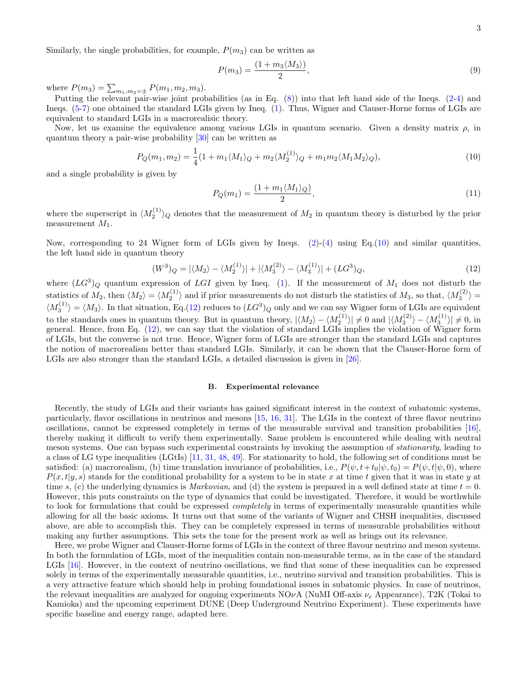Similarly, the single probabilities, for example,  $P(m_3)$  can be written as

$$
P(m_3) = \frac{(1 + m_3 \langle M_3 \rangle)}{2},\tag{9}
$$

where  $P(m_3) = \sum_{m_1,m_2=\pm} P(m_1, m_2, m_3)$ .

Putting the relevant pair-wise joint probabilities (as in Eq. (8)) into that left hand side of the Ineqs. (2-4) and Ineqs. (5-7) one obtained the standard LGIs given by Ineq. (1). Thus, Wigner and Clauser-Horne forms of LGIs are equivalent to standard LGIs in a macrorealisic theory.

Now, let us examine the equivalence among various LGIs in quantum scenario. Given a density matrix  $\rho$ , in quantum theory a pair-wise probability [30] can be written as

$$
P_Q(m_1, m_2) = \frac{1}{4}(1 + m_1 \langle M_1 \rangle_Q + m_2 \langle M_2^{(1)} \rangle_Q + m_1 m_2 \langle M_1 M_2 \rangle_Q),\tag{10}
$$

and a single probability is given by

$$
P_Q(m_1) = \frac{(1 + m_1 \langle M_1 \rangle_Q)}{2},\tag{11}
$$

where the superscript in  $\langle M_2^{(1)} \rangle_Q$  denotes that the measurement of  $M_2$  in quantum theory is disturbed by the prior measurement  $M_1$ .

Now, corresponding to 24 Wigner form of LGIs given by Ineqs.  $(2)-(4)$  using Eq.(10) and similar quantities, the left hand side in quantum theory

$$
(W^3)_Q = |\langle M_2 \rangle - \langle M_2^{(1)} \rangle| + |\langle M_3^{(2)} \rangle - \langle M_3^{(1)} \rangle| + (LG^3)_Q,\tag{12}
$$

where  $(LG^3)_Q$  quantum expression of LGI given by Ineq. (1). If the measurement of  $M_1$  does not disturb the statistics of  $M_2$ , then  $\langle M_2 \rangle = \langle M_2^{(1)} \rangle$  and if prior measurements do not disturb the statistics of  $M_3$ , so that,  $\langle M_3^{(2)} \rangle =$  $\langle M_3^{(1)} \rangle = \langle M_3 \rangle$ . In that situation, Eq.(12) reduces to  $(LG^3)_Q$  only and we can say Wigner form of LGIs are equivalent to the standards ones in quantum theory. But in quantum theory,  $|\langle M_2 \rangle - \langle M_2^{(1)} \rangle| \neq 0$  and  $|\langle M_3^{(2)} \rangle - \langle M_3^{(1)} \rangle| \neq 0$ , in general. Hence, from Eq. (12), we can say that the violation of standard LGIs implies the violation of Wigner form of LGIs, but the converse is not true. Hence, Wigner form of LGIs are stronger than the standard LGIs and captures the notion of macrorealism better than standard LGIs. Similarly, it can be shown that the Clauser-Horne form of LGIs are also stronger than the standard LGIs, a detailed discussion is given in [26].

### B. Experimental relevance

Recently, the study of LGIs and their variants has gained significant interest in the context of subatomic systems, particularly, flavor oscillations in neutrinos and mesons [15, 16, 31]. The LGIs in the context of three flavor neutrino oscillations, cannot be expressed completely in terms of the measurable survival and transition probabilities [16], thereby making it difficult to verify them experimentally. Same problem is encountered while dealing with neutral meson systems. One can bypass such experimental constraints by invoking the assumption of stationarity, leading to a class of LG type inequalities (LGtIs) [11, 31, 48, 49]. For stationarity to hold, the following set of conditions must be satisfied: (a) macrorealism, (b) time translation invariance of probabilities, i.e.,  $P(\psi, t+t_0|\psi, t_0) = P(\psi, t|\psi, 0)$ , where  $P(x,t|y,s)$  stands for the conditional probability for a system to be in state x at time t given that it was in state y at time s, (c) the underlying dynamics is *Markovian*, and (d) the system is prepared in a well defined state at time  $t = 0$ . However, this puts constraints on the type of dynamics that could be investigated. Therefore, it would be worthwhile to look for formulations that could be expressed *completely* in terms of experimentally measurable quantities while allowing for all the basic axioms. It turns out that some of the variants of Wigner and CHSH inequalities, discussed above, are able to accomplish this. They can be completely expressed in terms of measurable probabilities without making any further assumptions. This sets the tone for the present work as well as brings out its relevance.

Here, we probe Wigner and Clauser-Horne forms of LGIs in the context of three flavour neutrino and meson systems. In both the formulation of LGIs, most of the inequalities contain non-measurable terms, as in the case of the standard LGIs [16]. However, in the context of neutrino oscillations, we find that some of these inequalities can be expressed solely in terms of the experimentally measurable quantities, i.e., neutrino survival and transition probabilities. This is a very attractive feature which should help in probing foundational issues in subatomic physics. In case of neutrinos, the relevant inequalities are analyzed for ongoing experiments  $NO\nu A$  (NuMI Off-axis  $\nu_e$  Appearance), T2K (Tokai to Kamioka) and the upcoming experiment DUNE (Deep Underground Neutrino Experiment). These experiments have specific baseline and energy range, adapted here.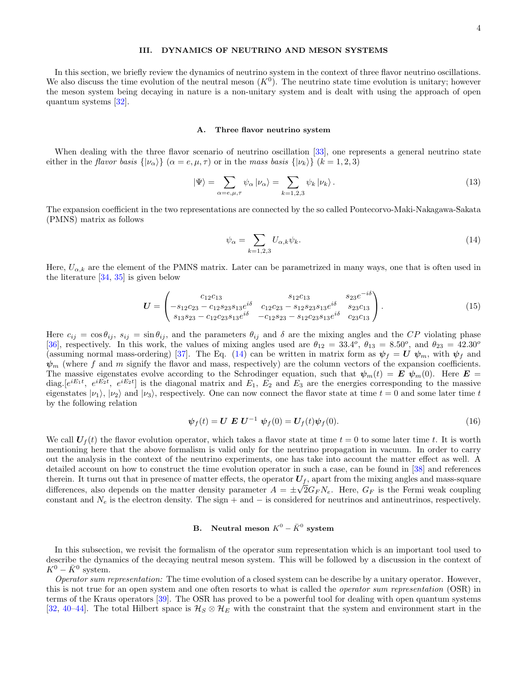### III. DYNAMICS OF NEUTRINO AND MESON SYSTEMS

In this section, we briefly review the dynamics of neutrino system in the context of three flavor neutrino oscillations. We also discuss the time evolution of the neutral meson  $(K<sup>0</sup>)$ . The neutrino state time evolution is unitary; however the meson system being decaying in nature is a non-unitary system and is dealt with using the approach of open quantum systems [32].

### A. Three flavor neutrino system

When dealing with the three flavor scenario of neutrino oscillation [33], one represents a general neutrino state either in the flavor basis  $\{|\nu_{\alpha}\rangle\}$  ( $\alpha = e, \mu, \tau$ ) or in the mass basis  $\{|\nu_{k}\rangle\}$  ( $k = 1, 2, 3$ )

$$
|\Psi\rangle = \sum_{\alpha=e,\mu,\tau} \psi_{\alpha} |\nu_{\alpha}\rangle = \sum_{k=1,2,3} \psi_k |\nu_k\rangle.
$$
 (13)

The expansion coefficient in the two representations are connected by the so called Pontecorvo-Maki-Nakagawa-Sakata (PMNS) matrix as follows

$$
\psi_{\alpha} = \sum_{k=1,2,3} U_{\alpha,k} \psi_k. \tag{14}
$$

Here,  $U_{\alpha,k}$  are the element of the PMNS matrix. Later can be parametrized in many ways, one that is often used in the literature  $[34, 35]$  is given below

$$
U = \begin{pmatrix} c_{12}c_{13} & s_{12}c_{13} & s_{23}e^{-i\delta} \\ -s_{12}c_{23} - c_{12}s_{23}s_{13}e^{i\delta} & c_{12}c_{23} - s_{12}s_{23}s_{13}e^{i\delta} & s_{23}c_{13} \\ s_{13}s_{23} - c_{12}c_{23}s_{13}e^{i\delta} & -c_{12}s_{23} - s_{12}c_{23}s_{13}e^{i\delta} & c_{23}c_{13} \end{pmatrix}.
$$
 (15)

Here  $c_{ij} = \cos \theta_{ij}$ ,  $s_{ij} = \sin \theta_{ij}$ , and the parameters  $\theta_{ij}$  and  $\delta$  are the mixing angles and the CP violating phase [36], respectively. In this work, the values of mixing angles used are  $\theta_{12} = 33.4^{\circ}$ ,  $\theta_{13} = 8.50^{\circ}$ , and  $\theta_{23} = 42.30^{\circ}$ (assuming normal mass-ordering) [37]. The Eq. (14) can be written in matrix form as  $\psi_f = U \psi_m$ , with  $\psi_f$  and  $\psi_m$  (where f and m signify the flavor and mass, respectively) are the column vectors of the expansion coefficients. The massive eigenstates evolve according to the Schrodinger equation, such that  $\psi_m(t) = E \psi_m(0)$ . Here  $E =$ diag.  $[e^{iE_1t}, e^{iE_2t}, e^{iE_2t}]$  is the diagonal matrix and  $E_1, E_2$  and  $E_3$  are the energies corresponding to the massive eigenstates  $|\nu_1\rangle$ ,  $|\nu_2\rangle$  and  $|\nu_3\rangle$ , respectively. One can now connect the flavor state at time  $t = 0$  and some later time t by the following relation

$$
\psi_f(t) = U \mathbf{E} U^{-1} \psi_f(0) = U_f(t)\psi_f(0). \tag{16}
$$

We call  $U_f(t)$  the flavor evolution operator, which takes a flavor state at time  $t = 0$  to some later time t. It is worth mentioning here that the above formalism is valid only for the neutrino propagation in vacuum. In order to carry out the analysis in the context of the neutrino experiments, one has take into account the matter effect as well. A detailed account on how to construct the time evolution operator in such a case, can be found in [38] and references therein. It turns out that in presence of matter effects, the operator  $U_f$ , apart from the mixing angles and mass-square differences, also depends on the matter density parameter  $A = \pm \sqrt{2} G_F N_e$ . Here,  $G_F$  is the Fermi weak coupling constant and  $N_e$  is the electron density. The sign + and  $-$  is considered for neutrinos and antineutrinos, respectively.

# B. Neutral meson  $K^0 - \bar{K}^0$  system

In this subsection, we revisit the formalism of the operator sum representation which is an important tool used to describe the dynamics of the decaying neutral meson system. This will be followed by a discussion in the context of  $K^0 - \bar{K}^0$  system.

Operator sum representation: The time evolution of a closed system can be describe by a unitary operator. However, this is not true for an open system and one often resorts to what is called the *operator sum representation* (OSR) in terms of the Kraus operators [39]. The OSR has proved to be a powerful tool for dealing with open quantum systems [32, 40–44]. The total Hilbert space is  $\mathcal{H}_S \otimes \mathcal{H}_E$  with the constraint that the system and environment start in the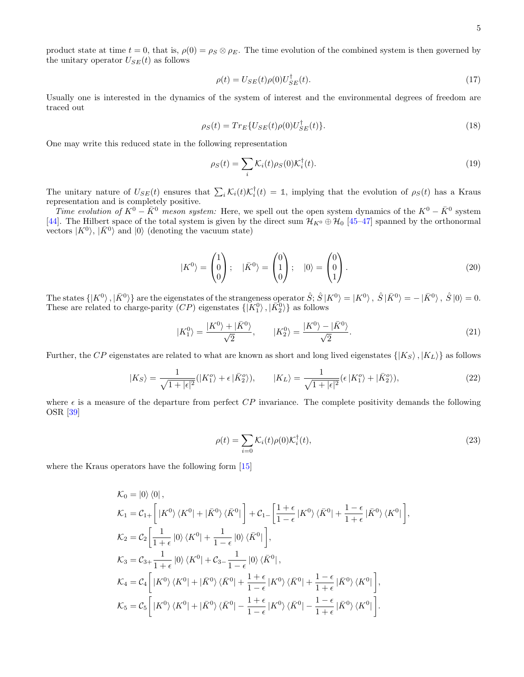product state at time  $t = 0$ , that is,  $\rho(0) = \rho_S \otimes \rho_E$ . The time evolution of the combined system is then governed by the unitary operator  $U_{SE}(t)$  as follows

$$
\rho(t) = U_{SE}(t)\rho(0)U_{SE}^{\dagger}(t). \tag{17}
$$

Usually one is interested in the dynamics of the system of interest and the environmental degrees of freedom are traced out

$$
\rho_S(t) = Tr_E \{ U_{SE}(t) \rho(0) U_{SE}^\dagger(t) \}.
$$
\n
$$
(18)
$$

One may write this reduced state in the following representation

$$
\rho_S(t) = \sum_i \mathcal{K}_i(t)\rho_S(0)\mathcal{K}_i^\dagger(t). \tag{19}
$$

The unitary nature of  $U_{SE}(t)$  ensures that  $\sum_i \mathcal{K}_i(t) \mathcal{K}_i^{\dagger}(t) = 1$ , implying that the evolution of  $\rho_S(t)$  has a Kraus representation and is completely positive.

Time evolution of  $K^0 - \bar{K}^0$  meson system: Here, we spell out the open system dynamics of the  $K^0 - \bar{K}^0$  system [44]. The Hilbert space of the total system is given by the direct sum  $\mathcal{H}_{K^0} \oplus \mathcal{H}_0$  [45–47] spanned by the orthonormal vectors  $|K^0\rangle$ ,  $|\bar{K}^0\rangle$  and  $|0\rangle$  (denoting the vacuum state)

$$
|K^{0}\rangle = \begin{pmatrix} 1 \\ 0 \\ 0 \end{pmatrix}; \quad |\bar{K}^{0}\rangle = \begin{pmatrix} 0 \\ 1 \\ 0 \end{pmatrix}; \quad |0\rangle = \begin{pmatrix} 0 \\ 0 \\ 1 \end{pmatrix}.
$$
 (20)

The states  $\{ |K^0\rangle, |\bar{K}^0\rangle \}$  are the eigenstates of the strangeness operator  $\hat{S}$ ;  $\hat{S} |K^0\rangle = |K^0\rangle$ ,  $\hat{S} |\bar{K}^0\rangle = -|\bar{K}^0\rangle$ ,  $\hat{S} |0\rangle = 0$ . These are related to charge-parity  $(CP)$  eigenstates  $\{ |K_1^0\rangle, |\bar{K}_2^0\rangle \}$  as follows

$$
|K_1^0\rangle = \frac{|K^0\rangle + |\bar{K}^0\rangle}{\sqrt{2}}, \qquad |K_2^0\rangle = \frac{|K^0\rangle - |\bar{K}^0\rangle}{\sqrt{2}}.
$$
\n(21)

Further, the CP eigenstates are related to what are known as short and long lived eigenstates  $\{|K_S\rangle, |K_L\rangle\}$  as follows

$$
|K_S\rangle = \frac{1}{\sqrt{1+|\epsilon|^2}}(|K_1^o\rangle + \epsilon|\bar{K}_2^o\rangle), \qquad |K_L\rangle = \frac{1}{\sqrt{1+|\epsilon|^2}}(\epsilon|K_1^o\rangle + |\bar{K}_2^o\rangle),\tag{22}
$$

where  $\epsilon$  is a measure of the departure from perfect CP invariance. The complete positivity demands the following OSR [39]

$$
\rho(t) = \sum_{i=0} \mathcal{K}_i(t)\rho(0)\mathcal{K}_i^{\dagger}(t),\tag{23}
$$

where the Kraus operators have the following form [15]

$$
\mathcal{K}_0 = |0\rangle\langle 0|,
$$
\n
$$
\mathcal{K}_1 = \mathcal{C}_{1+} \left[ |K^0\rangle\langle K^0| + |\bar{K}^0\rangle\langle \bar{K}^0| \right] + \mathcal{C}_{1-} \left[ \frac{1+\epsilon}{1-\epsilon} |K^0\rangle\langle \bar{K}^0| + \frac{1-\epsilon}{1+\epsilon} |\bar{K}^0\rangle\langle K^0| \right],
$$
\n
$$
\mathcal{K}_2 = \mathcal{C}_2 \left[ \frac{1}{1+\epsilon} |0\rangle\langle K^0| + \frac{1}{1-\epsilon} |0\rangle\langle \bar{K}^0| \right],
$$
\n
$$
\mathcal{K}_3 = \mathcal{C}_{3+} \frac{1}{1+\epsilon} |0\rangle\langle K^0| + \mathcal{C}_{3-} \frac{1}{1-\epsilon} |0\rangle\langle \bar{K}^0|,
$$
\n
$$
\mathcal{K}_4 = \mathcal{C}_4 \left[ |K^0\rangle\langle K^0| + |\bar{K}^0\rangle\langle \bar{K}^0| + \frac{1+\epsilon}{1-\epsilon} |K^0\rangle\langle \bar{K}^0| + \frac{1-\epsilon}{1+\epsilon} |\bar{K}^0\rangle\langle K^0| \right],
$$
\n
$$
\mathcal{K}_5 = \mathcal{C}_5 \left[ |K^0\rangle\langle K^0| + |\bar{K}^0\rangle\langle \bar{K}^0| - \frac{1+\epsilon}{1-\epsilon} |K^0\rangle\langle \bar{K}^0| - \frac{1-\epsilon}{1+\epsilon} |\bar{K}^0\rangle\langle K^0| \right].
$$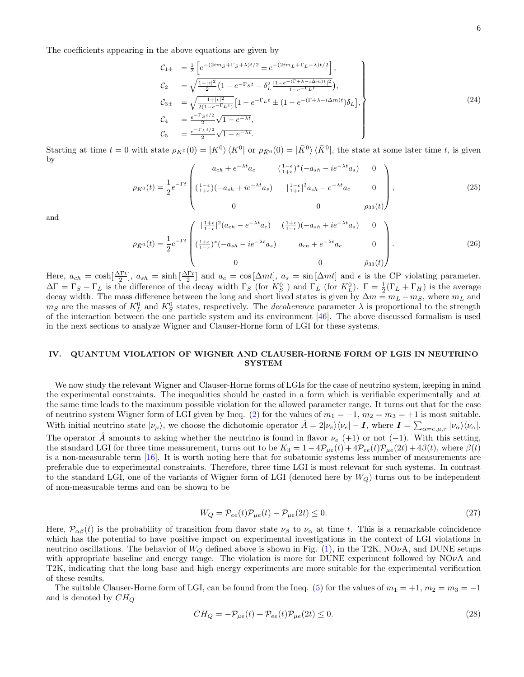The coefficients appearing in the above equations are given by

$$
C_{1\pm} = \frac{1}{2} \left[ e^{-(2im_S + \Gamma_S + \lambda)t/2} \pm e^{-(2im_L + \Gamma_L + \lambda)t/2} \right],
$$
  
\n
$$
C_2 = \sqrt{\frac{1+|\epsilon|^2}{2} \left( 1 - e^{-\Gamma_S t} - \delta_L^2 \frac{|1 - e^{-(\Gamma + \lambda - i\Delta m)t}|^2}{1 - e^{-\Gamma_L t}} \right)},
$$
  
\n
$$
C_{3\pm} = \sqrt{\frac{1+|\epsilon|^2}{2(1 - e^{-\Gamma_L t})} \left[ 1 - e^{-\Gamma_L t} \pm (1 - e^{-(\Gamma + \lambda - i\Delta m)t}) \delta_L \right]},
$$
  
\n
$$
C_4 = \frac{e^{-\Gamma_S t/2}}{2} \sqrt{1 - e^{-\lambda t}},
$$
  
\n
$$
C_5 = \frac{e^{-\Gamma_L t/2}}{2} \sqrt{1 - e^{-\lambda t}}.
$$
\n(24)

Starting at time  $t = 0$  with state  $\rho_{K^0}(0) = |K^0\rangle \langle K^0|$  or  $\rho_{\bar{K}^0}(0) = |\bar{K}^0\rangle \langle \bar{K}^0|$ , the state at some later time t, is given by

$$
\rho_{K^0}(t) = \frac{1}{2} e^{-\Gamma t} \begin{pmatrix} a_{ch} + e^{-\lambda t} a_c & (\frac{1-\epsilon}{1+\epsilon})^*(-a_{sh} - ie^{-\lambda t} a_s) & 0 \\ (\frac{1-\epsilon}{1+\epsilon})(-a_{sh} + ie^{-\lambda t} a_s) & |\frac{1-\epsilon}{1+\epsilon}|^2 a_{ch} - e^{-\lambda t} a_c & 0 \\ 0 & 0 & \rho_{33}(t) \end{pmatrix},
$$
\n(25)

and

$$
\rho_{\bar{K}^0}(t) = \frac{1}{2} e^{-\Gamma t} \begin{pmatrix} |\frac{1+\epsilon}{1-\epsilon}|^2 (a_{ch} - e^{-\lambda t} a_c) & (\frac{1+\epsilon}{1-\epsilon})(-a_{sh} + ie^{-\lambda t} a_s) & 0\\ (\frac{1+\epsilon}{1-\epsilon})^*(-a_{sh} - ie^{-\lambda t} a_s) & a_{ch} + e^{-\lambda t} a_c & 0\\ 0 & 0 & \tilde{\rho}_{33}(t) \end{pmatrix} . \tag{26}
$$

Here,  $a_{ch} = \cosh[\frac{\Delta \Gamma t}{2}]$ ,  $a_{sh} = \sinh[\frac{\Delta \Gamma t}{2}]$  and  $a_c = \cos[\Delta mt]$ ,  $a_s = \sin[\Delta mt]$  and  $\epsilon$  is the CP violating parameter.  $\Delta\Gamma = \Gamma_S - \Gamma_L$  is the difference of the decay width  $\Gamma_S$  (for  $K_S^0$ ) and  $\Gamma_L$  (for  $K_L^0$ ).  $\Gamma = \frac{1}{2}(\Gamma_L + \Gamma_H)$  is the average decay width. The mass difference between the long and short lived states is given by  $\Delta m = m_L - m_S$ , where  $m_L$  and  $m_S$  are the masses of  $K_L^0$  and  $K_S^0$  states, respectively. The *decoherence* parameter  $\lambda$  is proportional to the strength of the interaction between the one particle system and its environment [46]. The above discussed formalism is used in the next sections to analyze Wigner and Clauser-Horne form of LGI for these systems.

# IV. QUANTUM VIOLATION OF WIGNER AND CLAUSER-HORNE FORM OF LGIS IN NEUTRINO SYSTEM

We now study the relevant Wigner and Clauser-Horne forms of LGIs for the case of neutrino system, keeping in mind the experimental constraints. The inequalities should be casted in a form which is verifiable experimentally and at the same time leads to the maximum possible violation for the allowed parameter range. It turns out that for the case of neutrino system Wigner form of LGI given by Ineq. (2) for the values of  $m_1 = -1$ ,  $m_2 = m_3 = +1$  is most suitable. With initial neutrino state  $|\nu_{\mu}\rangle$ , we choose the dichotomic operator  $\hat{A} = 2|\nu_{e}\rangle\langle\nu_{e}|-I$ , where  $I = \sum_{\alpha=e,\mu,\tau}|\nu_{\alpha}\rangle\langle\nu_{\alpha}|$ . The operator A amounts to asking whether the neutrino is found in flavor  $\nu_e$  (+1) or not (-1). With this setting, the standard LGI for three time measurement, turns out to be  $K_3 = 1 - 4\mathcal{P}_{\mu e}(t) + 4\mathcal{P}_{ee}(t)\mathcal{P}_{\mu e}(2t) + 4\beta(t)$ , where  $\beta(t)$ is a non-measurable term [16]. It is worth noting here that for subatomic systems less number of measurements are preferable due to experimental constraints. Therefore, three time LGI is most relevant for such systems. In contrast to the standard LGI, one of the variants of Wigner form of LGI (denoted here by  $W_Q$ ) turns out to be independent of non-measurable terms and can be shown to be

$$
W_Q = \mathcal{P}_{ee}(t)\mathcal{P}_{\mu e}(t) - \mathcal{P}_{\mu e}(2t) \le 0.
$$
\n
$$
(27)
$$

Here,  $\mathcal{P}_{\alpha\beta}(t)$  is the probability of transition from flavor state  $\nu_{\beta}$  to  $\nu_{\alpha}$  at time t. This is a remarkable coincidence which has the potential to have positive impact on experimental investigations in the context of LGI violations in neutrino oscillations. The behavior of  $W_Q$  defined above is shown in Fig. (1), in the T2K, NOvA, and DUNE setups with appropriate baseline and energy range. The violation is more for DUNE experiment followed by  $NOvA$  and T2K, indicating that the long base and high energy experiments are more suitable for the experimental verification of these results.

The suitable Clauser-Horne form of LGI, can be found from the Ineq. (5) for the values of  $m_1 = +1$ ,  $m_2 = m_3 = -1$ and is denoted by  $CH<sub>O</sub>$ 

$$
CH_Q = -\mathcal{P}_{\mu e}(t) + \mathcal{P}_{ee}(t)\mathcal{P}_{\mu e}(2t) \le 0.
$$
\n
$$
(28)
$$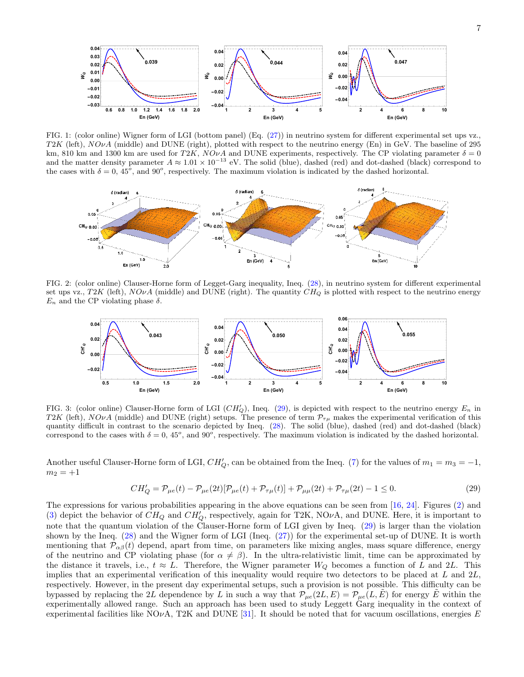

FIG. 1: (color online) Wigner form of LGI (bottom panel) (Eq. (27)) in neutrino system for different experimental set ups vz.,  $T2K$  (left),  $NO\nu A$  (middle) and DUNE (right), plotted with respect to the neutrino energy (En) in GeV. The baseline of 295 km, 810 km and 1300 km are used for T2K,  $NO\nu A$  and DUNE experiments, respectively. The CP violating parameter  $\delta = 0$ and the matter density parameter  $A \approx 1.01 \times 10^{-13}$  eV. The solid (blue), dashed (red) and dot-dashed (black) correspond to the cases with  $\delta = 0$ , 45<sup>o</sup>, and 90<sup>o</sup>, respectively. The maximum violation is indicated by the dashed horizontal.



FIG. 2: (color online) Clauser-Horne form of Legget-Garg inequality, Ineq. (28), in neutrino system for different experimental set ups vz., T2K (left),  $NO\nu A$  (middle) and DUNE (right). The quantity  $CH_Q$  is plotted with respect to the neutrino energy  $E_n$  and the CP violating phase  $\delta$ .



FIG. 3: (color online) Clauser-Horne form of LGI  $(CH'_{Q})$ , Ineq. (29), is depicted with respect to the neutrino energy  $E_n$  in T2K (left), NOvA (middle) and DUNE (right) setups. The presence of term  $\mathcal{P}_{\tau\mu}$  makes the experimental verification of this quantity difficult in contrast to the scenario depicted by Ineq. (28). The solid (blue), dashed (red) and dot-dashed (black) correspond to the cases with  $\delta = 0$ , 45<sup>o</sup>, and 90<sup>o</sup>, respectively. The maximum violation is indicated by the dashed horizontal.

Another useful Clauser-Horne form of LGI,  $CH'_{Q}$ , can be obtained from the Ineq. (7) for the values of  $m_1 = m_3 = -1$ ,  $m_2 = +1$ 

$$
CH'_{Q} = \mathcal{P}_{\mu e}(t) - \mathcal{P}_{\mu e}(2t)[\mathcal{P}_{\mu e}(t) + \mathcal{P}_{\tau\mu}(t)] + \mathcal{P}_{\mu\mu}(2t) + \mathcal{P}_{\tau\mu}(2t) - 1 \le 0.
$$
\n(29)

The expressions for various probabilities appearing in the above equations can be seen from [16, 24]. Figures (2) and (3) depict the behavior of  $CH_Q$  and  $CH'_Q$ , respectively, again for T2K, NO $\nu$ A, and DUNE. Here, it is important to note that the quantum violation of the Clauser-Horne form of LGI given by Ineq. (29) is larger than the violation shown by the Ineq. (28) and the Wigner form of LGI (Ineq. (27)) for the experimental set-up of DUNE. It is worth mentioning that  $\mathcal{P}_{\alpha\beta}(t)$  depend, apart from time, on parameters like mixing angles, mass square difference, energy of the neutrino and CP violating phase (for  $\alpha \neq \beta$ ). In the ultra-relativistic limit, time can be approximated by the distance it travels, i.e.,  $t \approx L$ . Therefore, the Wigner parameter  $W_Q$  becomes a function of L and 2L. This implies that an experimental verification of this inequality would require two detectors to be placed at  $L$  and  $2L$ , respectively. However, in the present day experimental setups, such a provision is not possible. This difficulty can be bypassed by replacing the 2L dependence by L in such a way that  $\mathcal{P}_{\mu e}(2L,E) = \mathcal{P}_{\mu e}(L,E)$  for energy E within the experimentally allowed range. Such an approach has been used to study Leggett Garg inequality in the context of experimental facilities like  $NOvA$ , T2K and DUNE [31]. It should be noted that for vacuum oscillations, energies E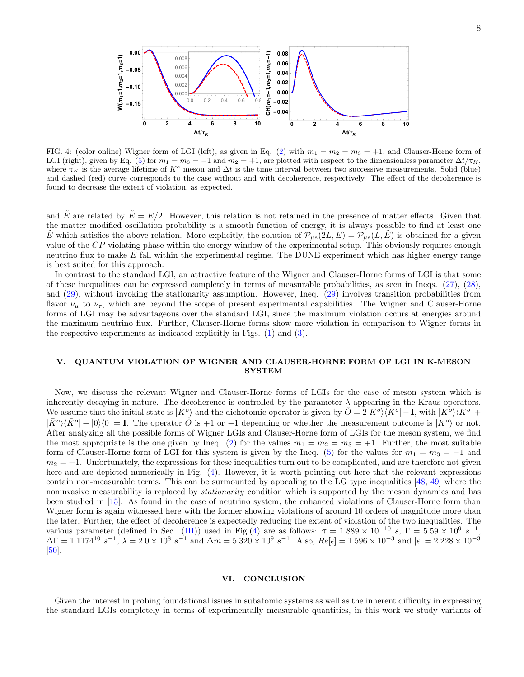

FIG. 4: (color online) Wigner form of LGI (left), as given in Eq. (2) with  $m_1 = m_2 = m_3 = +1$ , and Clauser-Horne form of LGI (right), given by Eq. (5) for  $m_1 = m_3 = -1$  and  $m_2 = +1$ , are plotted with respect to the dimensionless parameter  $\Delta t/\tau_K$ , where  $\tau_K$  is the average lifetime of K<sup>o</sup> meson and  $\Delta t$  is the time interval between two successive measurements. Solid (blue) and dashed (red) curve corresponds to the case without and with decoherence, respectively. The effect of the decoherence is found to decrease the extent of violation, as expected.

and  $\tilde{E}$  are related by  $\tilde{E} = E/2$ . However, this relation is not retained in the presence of matter effects. Given that the matter modified oscillation probability is a smooth function of energy, it is always possible to find at least one E which satisfies the above relation. More explicitly, the solution of  $\mathcal{P}_{\mu e}(2L,E) = \mathcal{P}_{\mu e}(L,E)$  is obtained for a given value of the CP violating phase within the energy window of the experimental setup. This obviously requires enough neutrino flux to make  $E$  fall within the experimental regime. The DUNE experiment which has higher energy range is best suited for this approach.

In contrast to the standard LGI, an attractive feature of the Wigner and Clauser-Horne forms of LGI is that some of these inequalities can be expressed completely in terms of measurable probabilities, as seen in Ineqs. (27), (28), and (29), without invoking the stationarity assumption. However, Ineq. (29) involves transition probabilities from flavor  $\nu_{\mu}$  to  $\nu_{\tau}$ , which are beyond the scope of present experimental capabilities. The Wigner and Clauser-Horne forms of LGI may be advantageous over the standard LGI, since the maximum violation occurs at energies around the maximum neutrino flux. Further, Clauser-Horne forms show more violation in comparison to Wigner forms in the respective experiments as indicated explicitly in Figs. (1) and (3).

## V. QUANTUM VIOLATION OF WIGNER AND CLAUSER-HORNE FORM OF LGI IN K-MESON **SYSTEM**

Now, we discuss the relevant Wigner and Clauser-Horne forms of LGIs for the case of meson system which is inherently decaying in nature. The decoherence is controlled by the parameter  $\lambda$  appearing in the Kraus operators. We assume that the initial state is  $|K^o\rangle$  and the dichotomic operator is given by  $\hat{O} = 2|K^o\rangle\langle K^o| - I$ , with  $|K^o\rangle\langle K^o| +$  $|\bar{K}^o\rangle\langle\bar{K}^o| + |0\rangle\langle0| = I$ . The operator  $\hat{O}$  is +1 or −1 depending or whether the measurement outcome is  $|K^o\rangle$  or not. After analyzing all the possible forms of Wigner LGIs and Clauser-Horne form of LGIs for the meson system, we find the most appropriate is the one given by Ineq. (2) for the values  $m_1 = m_2 = m_3 = +1$ . Further, the most suitable form of Clauser-Horne form of LGI for this system is given by the Ineq. (5) for the values for  $m_1 = m_3 = -1$  and  $m_2 = +1$ . Unfortunately, the expressions for these inequalities turn out to be complicated, and are therefore not given here and are depicted numerically in Fig.  $(4)$ . However, it is worth pointing out here that the relevant expressions contain non-measurable terms. This can be surmounted by appealing to the LG type inequalities [48, 49] where the noninvasive measurability is replaced by *stationarity* condition which is supported by the meson dynamics and has been studied in [15]. As found in the case of neutrino system, the enhanced violations of Clauser-Horne form than Wigner form is again witnessed here with the former showing violations of around 10 orders of magnitude more than the later. Further, the effect of decoherence is expectedly reducing the extent of violation of the two inequalities. The various parameter (defined in Sec. (III)) used in Fig.(4) are as follows:  $\tau = 1.889 \times 10^{-10}$  s,  $\Gamma = 5.59 \times 10^9$  s<sup>-1</sup>,  $\Delta\Gamma = 1.1174^{10} \ s^{-1}$ ,  $\lambda = 2.0 \times 10^8 \ s^{-1}$  and  $\Delta m = 5.320 \times 10^9 \ s^{-1}$ . Also,  $Re[\epsilon] = 1.596 \times 10^{-3}$  and  $|\epsilon| = 2.228 \times 10^{-3}$ [50].

### VI. CONCLUSION

Given the interest in probing foundational issues in subatomic systems as well as the inherent difficulty in expressing the standard LGIs completely in terms of experimentally measurable quantities, in this work we study variants of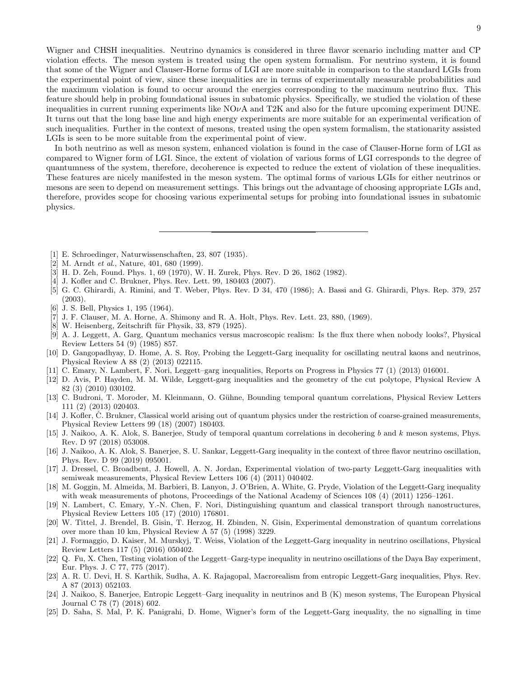Wigner and CHSH inequalities. Neutrino dynamics is considered in three flavor scenario including matter and CP violation effects. The meson system is treated using the open system formalism. For neutrino system, it is found that some of the Wigner and Clauser-Horne forms of LGI are more suitable in comparison to the standard LGIs from the experimental point of view, since these inequalities are in terms of experimentally measurable probabilities and the maximum violation is found to occur around the energies corresponding to the maximum neutrino flux. This feature should help in probing foundational issues in subatomic physics. Specifically, we studied the violation of these inequalities in current running experiments like  $NQvA$  and T2K and also for the future upcoming experiment DUNE. It turns out that the long base line and high energy experiments are more suitable for an experimental verification of such inequalities. Further in the context of mesons, treated using the open system formalism, the stationarity assisted LGIs is seen to be more suitable from the experimental point of view.

In both neutrino as well as meson system, enhanced violation is found in the case of Clauser-Horne form of LGI as compared to Wigner form of LGI. Since, the extent of violation of various forms of LGI corresponds to the degree of quantumness of the system, therefore, decoherence is expected to reduce the extent of violation of these inequalities. These features are nicely manifested in the meson system. The optimal forms of various LGIs for either neutrinos or mesons are seen to depend on measurement settings. This brings out the advantage of choosing appropriate LGIs and, therefore, provides scope for choosing various experimental setups for probing into foundational issues in subatomic physics.

- [1] E. Schroedinger, Naturwissenschaften, 23, 807 (1935).
- [2] M. Arndt et al., Nature, 401, 680 (1999).
- [3] H. D. Zeh, Found. Phys. 1, 69 (1970), W. H. Zurek, Phys. Rev. D 26, 1862 (1982).
- [4] J. Kofler and C. Brukner, Phys. Rev. Lett. 99, 180403 (2007).
- [5] G. C. Ghirardi, A. Rimini, and T. Weber, Phys. Rev. D 34, 470 (1986); A. Bassi and G. Ghirardi, Phys. Rep. 379, 257 (2003).
- [6] J. S. Bell, Physics 1, 195 (1964).
- [7] J. F. Clauser, M. A. Horne, A. Shimony and R. A. Holt, Phys. Rev. Lett. 23, 880, (1969).
- $[8]$  W. Heisenberg, Zeitschrift für Physik, 33, 879  $(1925)$ .
- [9] A. J. Leggett, A. Garg, Quantum mechanics versus macroscopic realism: Is the flux there when nobody looks?, Physical Review Letters 54 (9) (1985) 857.
- [10] D. Gangopadhyay, D. Home, A. S. Roy, Probing the Leggett-Garg inequality for oscillating neutral kaons and neutrinos, Physical Review A 88 (2) (2013) 022115.
- [11] C. Emary, N. Lambert, F. Nori, Leggett–garg inequalities, Reports on Progress in Physics 77 (1) (2013) 016001.
- [12] D. Avis, P. Hayden, M. M. Wilde, Leggett-garg inequalities and the geometry of the cut polytope, Physical Review A 82 (3) (2010) 030102.
- [13] C. Budroni, T. Moroder, M. Kleinmann, O. Gühne, Bounding temporal quantum correlations, Physical Review Letters 111 (2) (2013) 020403.
- [14] J. Kofler, C. Brukner, Classical world arising out of quantum physics under the restriction of coarse-grained measurements, Physical Review Letters 99 (18) (2007) 180403.
- [15] J. Naikoo, A. K. Alok, S. Banerjee, Study of temporal quantum correlations in decohering b and k meson systems, Phys. Rev. D 97 (2018) 053008.
- [16] J. Naikoo, A. K. Alok, S. Banerjee, S. U. Sankar, Leggett-Garg inequality in the context of three flavor neutrino oscillation, Phys. Rev. D 99 (2019) 095001.
- [17] J. Dressel, C. Broadbent, J. Howell, A. N. Jordan, Experimental violation of two-party Leggett-Garg inequalities with semiweak measurements, Physical Review Letters 106 (4) (2011) 040402.
- [18] M. Goggin, M. Almeida, M. Barbieri, B. Lanyon, J. O'Brien, A. White, G. Pryde, Violation of the Leggett-Garg inequality with weak measurements of photons, Proceedings of the National Academy of Sciences 108 (4) (2011) 1256–1261.
- [19] N. Lambert, C. Emary, Y.-N. Chen, F. Nori, Distinguishing quantum and classical transport through nanostructures, Physical Review Letters 105 (17) (2010) 176801.
- [20] W. Tittel, J. Brendel, B. Gisin, T. Herzog, H. Zbinden, N. Gisin, Experimental demonstration of quantum correlations over more than 10 km, Physical Review A 57 (5) (1998) 3229.
- [21] J. Formaggio, D. Kaiser, M. Murskyj, T. Weiss, Violation of the Leggett-Garg inequality in neutrino oscillations, Physical Review Letters 117 (5) (2016) 050402.
- [22] Q. Fu, X. Chen, Testing violation of the Leggett–Garg-type inequality in neutrino oscillations of the Daya Bay experiment, Eur. Phys. J. C 77, 775 (2017).
- [23] A. R. U. Devi, H. S. Karthik, Sudha, A. K. Rajagopal, Macrorealism from entropic Leggett-Garg inequalities, Phys. Rev. A 87 (2013) 052103.
- [24] J. Naikoo, S. Banerjee, Entropic Leggett–Garg inequality in neutrinos and B (K) meson systems, The European Physical Journal C 78 (7) (2018) 602.
- [25] D. Saha, S. Mal, P. K. Panigrahi, D. Home, Wigner's form of the Leggett-Garg inequality, the no signalling in time